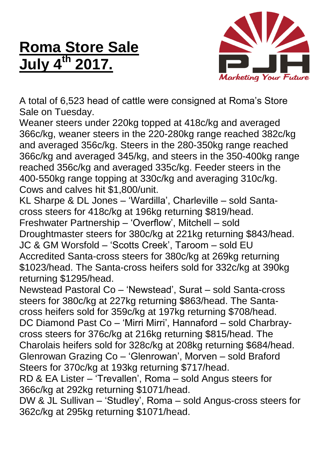## **Roma Store Sale July 4 th 2017.**



A total of 6,523 head of cattle were consigned at Roma's Store Sale on Tuesday.

Weaner steers under 220kg topped at 418c/kg and averaged 366c/kg, weaner steers in the 220-280kg range reached 382c/kg and averaged 356c/kg. Steers in the 280-350kg range reached 366c/kg and averaged 345/kg, and steers in the 350-400kg range reached 356c/kg and averaged 335c/kg. Feeder steers in the 400-550kg range topping at 330c/kg and averaging 310c/kg. Cows and calves hit \$1,800/unit.

KL Sharpe & DL Jones – 'Wardilla', Charleville – sold Santacross steers for 418c/kg at 196kg returning \$819/head. Freshwater Partnership – 'Overflow', Mitchell – sold

Droughtmaster steers for 380c/kg at 221kg returning \$843/head. JC & GM Worsfold – 'Scotts Creek', Taroom – sold EU Accredited Santa-cross steers for 380c/kg at 269kg returning \$1023/head. The Santa-cross heifers sold for 332c/kg at 390kg returning \$1295/head.

Newstead Pastoral Co – 'Newstead', Surat – sold Santa-cross steers for 380c/kg at 227kg returning \$863/head. The Santacross heifers sold for 359c/kg at 197kg returning \$708/head. DC Diamond Past Co – 'Mirri Mirri', Hannaford – sold Charbraycross steers for 376c/kg at 216kg returning \$815/head. The Charolais heifers sold for 328c/kg at 208kg returning \$684/head. Glenrowan Grazing Co – 'Glenrowan', Morven – sold Braford Steers for 370c/kg at 193kg returning \$717/head.

RD & EA Lister – 'Trevallen', Roma – sold Angus steers for 366c/kg at 292kg returning \$1071/head.

DW & JL Sullivan – 'Studley', Roma – sold Angus-cross steers for 362c/kg at 295kg returning \$1071/head.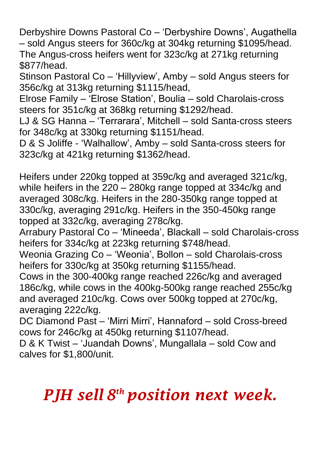Derbyshire Downs Pastoral Co – 'Derbyshire Downs', Augathella – sold Angus steers for 360c/kg at 304kg returning \$1095/head. The Angus-cross heifers went for 323c/kg at 271kg returning \$877/head.

Stinson Pastoral Co – 'Hillyview', Amby – sold Angus steers for 356c/kg at 313kg returning \$1115/head,

Elrose Family – 'Elrose Station', Boulia – sold Charolais-cross steers for 351c/kg at 368kg returning \$1292/head.

LJ & SG Hanna – 'Terrarara', Mitchell – sold Santa-cross steers for 348c/kg at 330kg returning \$1151/head.

D & S Joliffe - 'Walhallow', Amby – sold Santa-cross steers for 323c/kg at 421kg returning \$1362/head.

Heifers under 220kg topped at 359c/kg and averaged 321c/kg, while heifers in the 220 – 280kg range topped at 334c/kg and averaged 308c/kg. Heifers in the 280-350kg range topped at 330c/kg, averaging 291c/kg. Heifers in the 350-450kg range topped at 332c/kg, averaging 278c/kg.

Arrabury Pastoral Co – 'Mineeda', Blackall – sold Charolais-cross heifers for 334c/kg at 223kg returning \$748/head.

Weonia Grazing Co – 'Weonia', Bollon – sold Charolais-cross heifers for 330c/kg at 350kg returning \$1155/head.

Cows in the 300-400kg range reached 226c/kg and averaged 186c/kg, while cows in the 400kg-500kg range reached 255c/kg and averaged 210c/kg. Cows over 500kg topped at 270c/kg, averaging 222c/kg.

DC Diamond Past – 'Mirri Mirri', Hannaford – sold Cross-breed cows for 246c/kg at 450kg returning \$1107/head.

D & K Twist – 'Juandah Downs', Mungallala – sold Cow and calves for \$1,800/unit.

## *PJH sell 8 th position next week.*